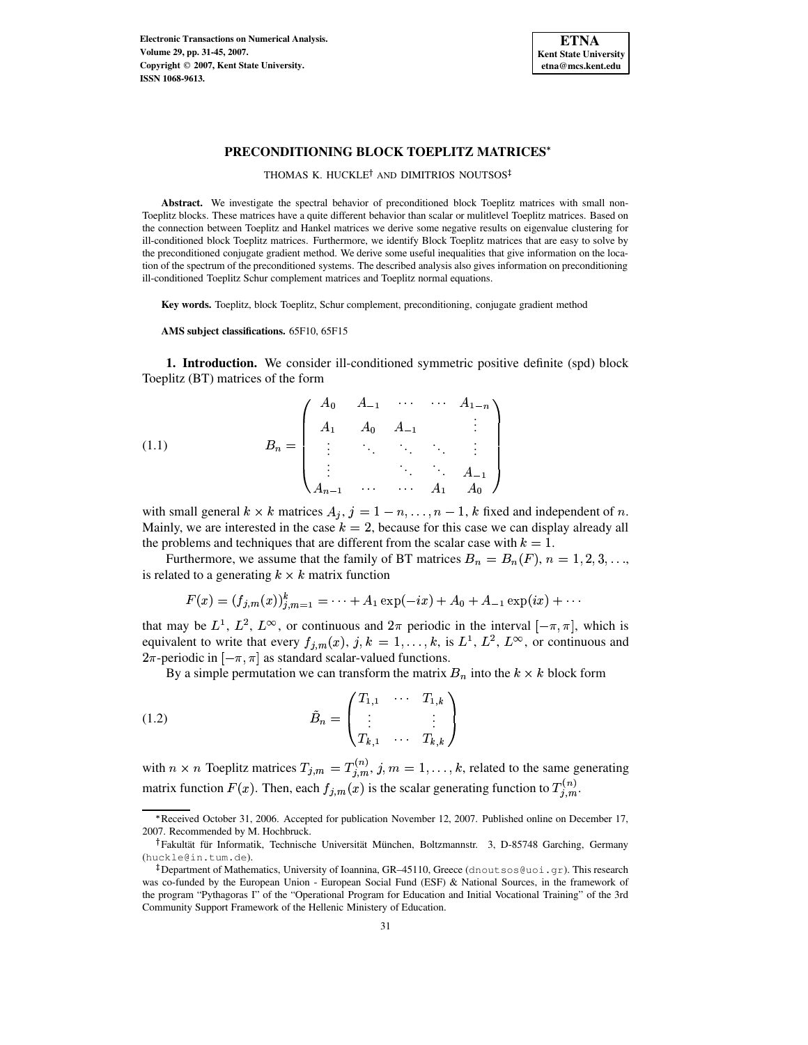

THOMAS K. HUCKLE<sup>†</sup> AND DIMITRIOS NOUTSOS

**Abstract.** We investigate the spectral behavior of preconditioned block Toeplitz matrices with small non-Toeplitz blocks. These matrices have a quite different behavior than scalar or mulitlevel Toeplitz matrices. Based on the connection between Toeplitz and Hankel matrices we derive some negative results on eigenvalue clustering for ill-conditioned block Toeplitz matrices. Furthermore, we identify Block Toeplitz matrices that are easy to solve by the preconditioned conjugate gradient method. We derive some useful inequalities that give information on the location of the spectrum of the preconditioned systems. The described analysis also gives information on preconditioning ill-conditioned Toeplitz Schur complement matrices and Toeplitz normal equations.

**Key words.** Toeplitz, block Toeplitz, Schur complement, preconditioning, conjugate gradient method

**AMS subject classifications.** 65F10, 65F15

**1. Introduction.** We consider ill-conditioned symmetric positive definite (spd) block Toeplitz (BT) matrices of the form

<span id="page-0-0"></span>(1.1) 
$$
B_n = \begin{pmatrix} A_0 & A_{-1} & \cdots & \cdots & A_{1-n} \\ A_1 & A_0 & A_{-1} & & \vdots \\ \vdots & \vdots & \ddots & \vdots & \vdots \\ A_{n-1} & \cdots & \cdots & A_1 & A_0 \end{pmatrix}
$$

with small general  $k \times k$  matrices  $A_j$ ,  $j = 1 - n, \ldots, n - 1$ , k fixed and independent of n. Mainly, we are interested in the case  $k = 2$ , because for this case we can display already all the problems and techniques that are different from the scalar case with  $k = 1$ .

Furthermore, we assume that the family of BT matrices  $B_n = B_n(F)$ ,  $n = 1, 2, 3, \ldots$ , is related to a generating  $k \times k$  matrix function

$$
F(x) = (f_{j,m}(x))_{j,m=1}^k = \cdots + A_1 \exp(-ix) + A_0 + A_{-1} \exp(ix) + \cdots
$$

that may be  $L^1$ ,  $L^2$ ,  $L^\infty$ , or continuous and  $2\pi$  periodic in the interval  $[-\pi, \pi]$ , which is equivalent to write that every  $f_{j,m}(x), j, k = 1, \ldots, k$ , is  $L^1, L^2, L^{\infty}$ , or continuous and  $2\pi$ -periodic in  $[-\pi,\pi]$  as standard scalar-valued functions.

<span id="page-0-1"></span>By a simple permutation we can transform the matrix  $B_n$  into the  $k \times k$  block form

$$
\tilde{B}_n = \begin{pmatrix} T_{1,1} & \cdots & T_{1,k} \\ \vdots & & \vdots \\ T_{k,1} & \cdots & T_{k,k} \end{pmatrix}
$$

with  $n \times n$  Toeplitz matrices  $T_{j,m} = T_{j,m}^{(n)}$ ,  $j, m = 1, \ldots, k$ , related to the same generating matrix function  $F(x)$ . Then, each  $f_{j,m}(x)$  is the scalar generating function to  $T_{j,m}^{(n)}$ .

<sup>i</sup> Received October 31, 2006. Accepted for publication November 12, 2007. Published online on December 17, 2007. Recommended by M. Hochbruck.

<sup>&</sup>lt;sup>†</sup>Fakultät für Informatik, Technische Universität München, Boltzmannstr. 3, D-85748 Garching, Germany (huckle@in.tum.de).

<sup>-</sup> Department of Mathematics, University of Ioannina, GR–45110, Greece (dnoutsos@uoi.gr). This research was co-funded by the European Union - European Social Fund (ESF) & National Sources, in the framework of the program "Pythagoras I" of the "Operational Program for Education and Initial Vocational Training" of the 3rd Community Support Framework of the Hellenic Ministery of Education.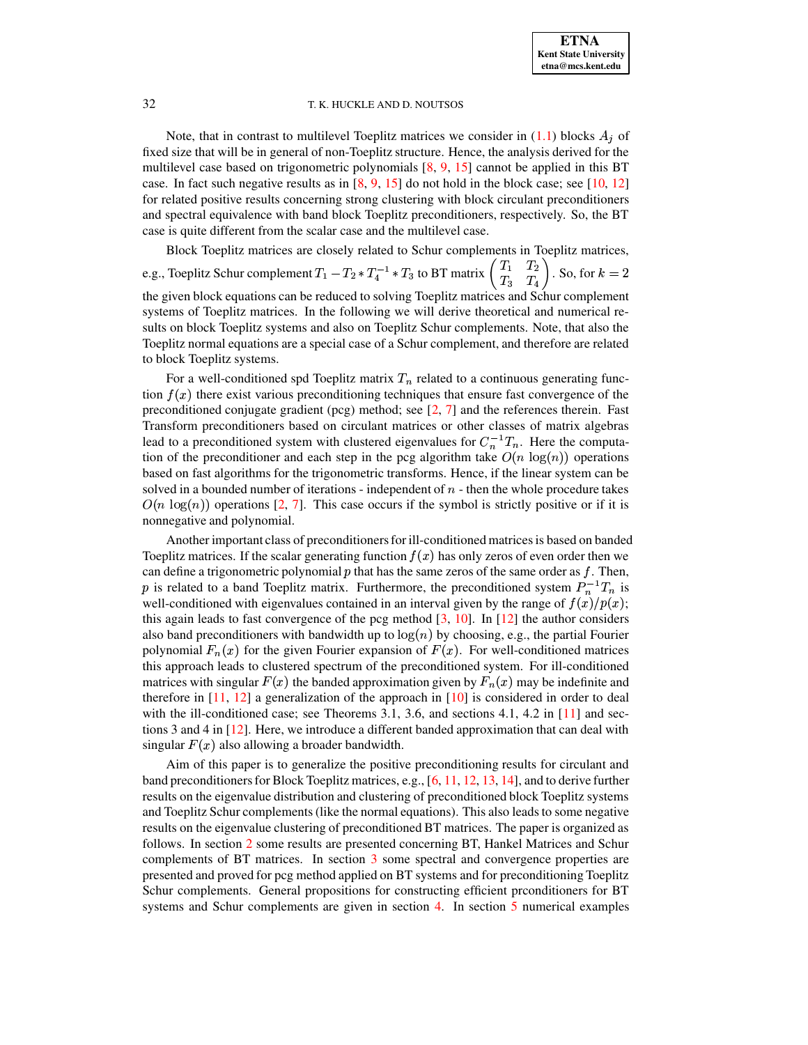Note, that in contrast to multilevel Toeplitz matrices we consider in  $(1.1)$  blocks  $A_i$  of fixed size that will be in general of non-Toeplitz structure. Hence, the analysis derived for the multilevel case based on trigonometric polynomials [\[8,](#page-13-0) [9,](#page-13-1) [15\]](#page-14-0) cannot be applied in this BT case. In fact such negative results as in  $[8, 9, 15]$  $[8, 9, 15]$  $[8, 9, 15]$  $[8, 9, 15]$  $[8, 9, 15]$  do not hold in the block case; see  $[10, 12]$  $[10, 12]$  $[10, 12]$ for related positive results concerning strong clustering with block circulant preconditioners and spectral equivalence with band block Toeplitz preconditioners, respectively. So, the BT case is quite different from the scalar case and the multilevel case.

Block Toeplitz matrices are closely related to Schur complements in Toeplitz matrices, e.g., Toeplitz Schur complement  $T_1 - T_2 \cdot T_4^{-1} \cdot T_3$  to BT n  $\frac{N-1}{4} * T_3$  to BT matrix  $\begin{pmatrix} T_1 & T_2 \ T_2 & T_4 \end{pmatrix}$ . So, for  $k = 2$ the given block equations can be reduced to solving Toeplitz matrices and Schur complement systems of Toeplitz matrices. In the following we will derive theoretical and numerical results on block Toeplitz systems and also on Toeplitz Schur complements. Note, that also the Toeplitz normal equations are a special case of a Schur complement, and therefore are related to block Toeplitz systems.

For a well-conditioned spd Toeplitz matrix  $T_n$  related to a continuous generating function  $f(x)$  there exist various preconditioning techniques that ensure fast convergence of the preconditioned conjugate gradient (pcg) method; see  $[2, 7]$  $[2, 7]$  $[2, 7]$  and the references therein. Fast Transform preconditioners based on circulant matrices or other classes of matrix algebras lead to a preconditioned system with clustered eigenvalues for  $C_n^{-1}T_n$ . Here the computation of the preconditioner and each step in the pcg algorithm take  $O(n \log(n))$  operations based on fast algorithms for the trigonometric transforms. Hence, if the linear system can be solved in a bounded number of iterations - independent of  $n$  - then the whole procedure takes  $O(n \log(n))$  operations [\[2,](#page-13-3) [7\]](#page-13-4). This case occurs if the symbol is strictly positive or if it is nonnegative and polynomial.

Another important class of preconditionersfor ill-conditioned matricesis based on banded Toeplitz matrices. If the scalar generating function  $f(x)$  has only zeros of even order then we can define a trigonometric polynomial  $p$  that has the same zeros of the same order as  $f$ . Then, p is related to a band Toeplitz matrix. Furthermore, the preconditioned system  $P_n^{-1}T_n$  is well-conditioned with eigenvalues contained in an interval given by the range of  $f(x)/p(x)$ ; this again leads to fast convergence of the pcg method  $[3, 10]$  $[3, 10]$  $[3, 10]$ . In  $[12]$  the author considers also band preconditioners with bandwidth up to  $log(n)$  by choosing, e.g., the partial Fourier polynomial  $F_n(x)$  for the given Fourier expansion of  $F(x)$ . For well-conditioned matrices this approach leads to clustered spectrum of the preconditioned system. For ill-conditioned matrices with singular  $F(x)$  the banded approximation given by  $F_n(x)$  may be indefinite and therefore in  $[11, 12]$  $[11, 12]$  $[11, 12]$  a generalization of the approach in  $[10]$  is considered in order to deal with the ill-conditioned case; see Theorems 3.1, 3.6, and sections 4.1, 4.2 in  $[11]$  and sections 3 and 4 in [\[12\]](#page-14-1). Here, we introduce a different banded approximation that can deal with singular  $F(x)$  also allowing a broader bandwidth.

Aim of this paper is to generalize the positive preconditioning results for circulant and band preconditioners for Block Toeplitz matrices, e.g., [\[6,](#page-13-6) [11,](#page-14-2) [12,](#page-14-1) [13,](#page-14-3) [14\]](#page-14-4), and to derive further results on the eigenvalue distribution and clustering of preconditioned block Toeplitz systems and Toeplitz Schur complements(like the normal equations). This also leads to some negative results on the eigenvalue clustering of preconditioned BT matrices. The paper is organized as follows. In section [2](#page-2-0) some results are presented concerning BT, Hankel Matrices and Schur complements of BT matrices. In section [3](#page-3-0) some spectral and convergence properties are presented and proved for pcg method applied on BT systems and for preconditioning Toeplitz Schur complements. General propositions for constructing efficient prconditioners for BT systems and Schur complements are given in section [4.](#page-7-0) In section [5](#page-9-0) numerical examples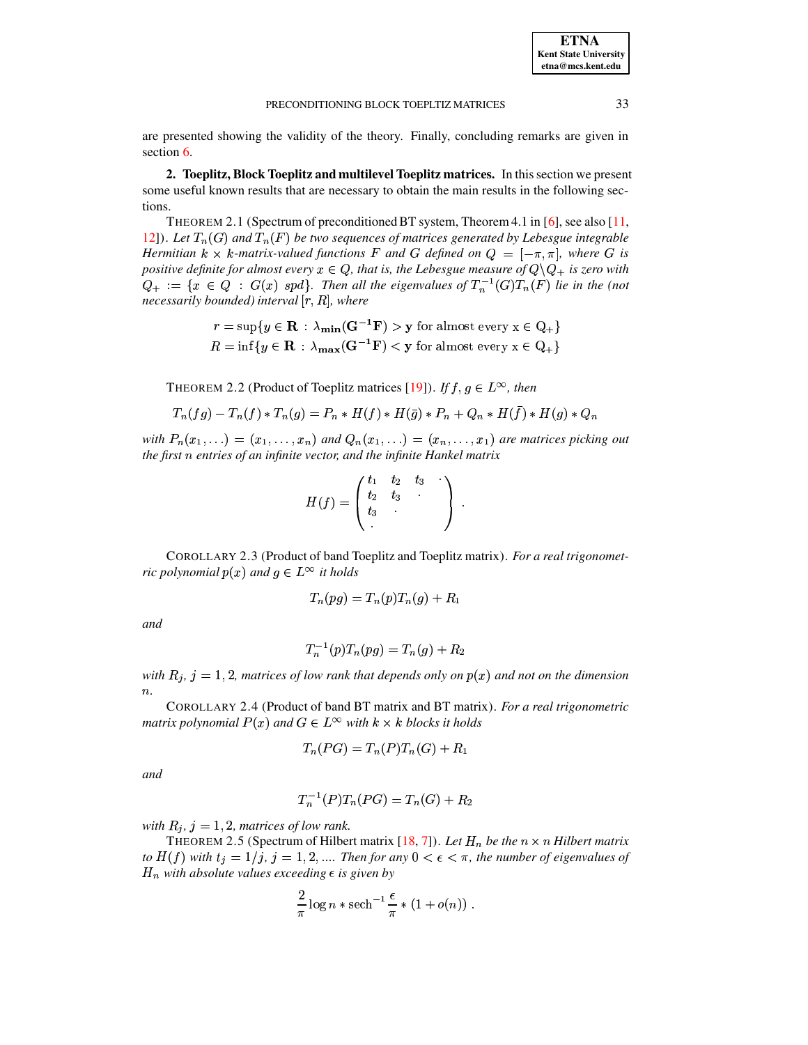are presented showing the validity of the theory. Finally, concluding remarks are given in section [6.](#page-12-0)

<span id="page-2-0"></span>**2. Toeplitz, Block Toeplitz and multilevel Toeplitz matrices.** In thissection we present some useful known results that are necessary to obtain the main results in the following sections.

THEOREM 2.1 (Spectrum of preconditioned BT system, Theorem 4.1 in [\[6\]](#page-13-6), see also [\[11,](#page-14-2) [12\]](#page-14-1)). Let  $T_n(G)$  and  $T_n(F)$  be two sequences of matrices generated by Lebesgue integrable *Hermitian*  $k \times k$ -matrix-valued functions F and G defined on  $Q = [-\pi, \pi]$ , where G is *positive* definite for almost every  $x \in Q$ , that is, the Lebesgue measure of  $Q \backslash Q_+$  is zero with  $Q_+ := \{x \in Q \: : \: G(x) \text{ such that } \text{the eigenvalues of } T_n^{-1}(G)T_n(F) \text{ lie in the (not)} \}$  $\emph{necessarily bounded}$  interval  $[r, R]$ , where

$$
r = \sup\{y \in \mathbf{R} : \lambda_{\min}(\mathbf{G}^{-1}\mathbf{F}) > \mathbf{y} \text{ for almost every } x \in Q_+\}
$$
\n
$$
R = \inf\{y \in \mathbf{R} : \lambda_{\max}(\mathbf{G}^{-1}\mathbf{F}) < \mathbf{y} \text{ for almost every } x \in Q_+\}
$$

<span id="page-2-1"></span>THEOREM 2.2 (Product of Toeplitz matrices [\[19\]](#page-14-5)). *If*  $f, g \in L^{\infty}$ *, then* 

$$
T_n(fg) - T_n(f) * T_n(g) = P_n * H(f) * H(\bar{g}) * P_n + Q_n * H(\bar{f}) * H(g) * Q_n
$$

with  $P_n(x_1, \ldots) = (x_1, \ldots, x_n)$  and  $Q_n(x_1, \ldots) = (x_n, \ldots, x_1)$  are matrices picking out *the first* & *entries of an infinite vector, and the infinite Hankel matrix*

$$
H(f) = \begin{pmatrix} t_1 & t_2 & t_3 \\ t_2 & t_3 & \\ t_3 & \cdot & \\ & & \end{pmatrix} .
$$

<span id="page-2-2"></span>COROLLARY 2.3 (Product of band Toeplitz and Toeplitz matrix). *For a real trigonometric polynomial*  $p(x)$  *and*  $g \in L^\infty$  *it holds* 

$$
T_n(pg)=T_n(p)T_n(g)+R_1\\
$$

*and*

$$
T_n^{-1}(p)T_n(pg)=T_n(g)+R_2\quad
$$

<span id="page-2-4"></span>*with*  $R_j$ ,  $j = 1, 2$ , *matrices of low rank that depends only on*  $p(x)$  *and not on the dimension* & *.*

COROLLARY 2.4 (Product of band BT matrix and BT matrix). *For a real trigonometric* matrix polynomial  $P(x)$  and  $G \in L^\infty$  with  $k \times k$  blocks it holds

$$
T_n(PG) = T_n(P)T_n(G) + R_1
$$

*and*

$$
T_n^{-1}(P)T_n(PG) = T_n(G) + R_2
$$

<span id="page-2-3"></span>*with*  $R_j$ ,  $j = 1, 2$ , *matrices of low rank.* 

THEOREM 2.5 (Spectrum of Hilbert matrix  $[18, 7]$  $[18, 7]$  $[18, 7]$ ). Let  $H_n$  be the  $n \times n$  Hilbert matrix *to*  $H(f)$  with  $t_i = 1/j$ ,  $j = 1, 2, ...$  *... Then for any*  $0 < \epsilon < \pi$ , the number of eigenvalues of  $_n$  with absolute values exceeding  $\epsilon$  is given by

$$
\frac{2}{\pi}\log n * \operatorname{sech}^{-1}\frac{\epsilon}{\pi} * (1 + o(n)).
$$

.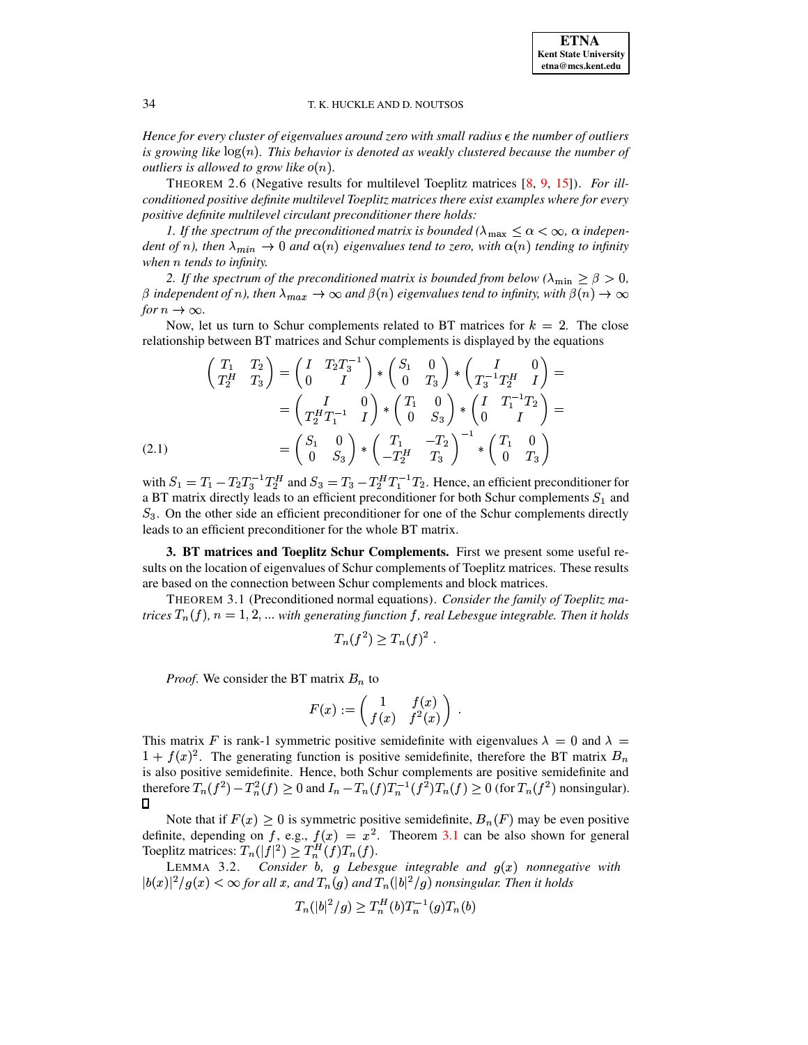*Hence for every cluster of eigenvalues around zero with small radius* » *the number of outliers is* growing like  $log(n)$ . This behavior is denoted as weakly clustered because the number of *outliers is allowed to grow like*  $o(n)$ .

THEOREM 2.6 (Negative results for multilevel Toeplitz matrices [\[8,](#page-13-0) [9,](#page-13-1) [15\]](#page-14-0)). *For illconditioned positive definite multilevel Toeplitz matrices there exist examples where for every positive definite multilevel circulant preconditioner there holds:*

*1. If the spectrum of the preconditioned matrix is bounded*  $(\lambda_{\text{max}} \leq \alpha < \infty, \alpha$  *indepen-* $\alpha$  *dent of n*), then  $\lambda_{min} \to 0$  and  $\alpha(n)$  eigenvalues tend to zero, with  $\alpha(n)$  tending to infinity  $when n tends to infinity.$ 

2. If the spectrum of the preconditioned matrix is bounded from below  $(\lambda_{\min} \ge \beta > 0$ ,  $\beta$  independent of n), then  $\lambda_{max} \to \infty$  and  $\beta(n)$  eigenvalues tend to infinity, with  $\beta(n) \to \infty$ *for*  $n \to \infty$ *.* 

Now, let us turn to Schur complements related to BT matrices for  $k = 2$ . The close relationship between BT matrices and Schur complements is displayed by the equations

<span id="page-3-3"></span>
$$
\begin{pmatrix}\nT_1 & T_2 \\
T_2^H & T_3\n\end{pmatrix} = \begin{pmatrix}\nI & T_2T_3^{-1} \\
0 & I\n\end{pmatrix} * \begin{pmatrix}\nS_1 & 0 \\
0 & T_3\n\end{pmatrix} * \begin{pmatrix}\nI & 0 \\
T_3^{-1}T_2^H & I\n\end{pmatrix} =
$$
\n
$$
= \begin{pmatrix}\nI & 0 \\
T_2^H T_1^{-1} & I\n\end{pmatrix} * \begin{pmatrix}\nT_1 & 0 \\
0 & S_3\n\end{pmatrix} * \begin{pmatrix}\nI & T_1^{-1}T_2 \\
0 & I\n\end{pmatrix} =
$$
\n(2.1)\n
$$
= \begin{pmatrix}\nS_1 & 0 \\
0 & S_3\n\end{pmatrix} * \begin{pmatrix}\nT_1 & -T_2 \\
-T_2^H & T_3\n\end{pmatrix}^{-1} * \begin{pmatrix}\nT_1 & 0 \\
0 & T_3\n\end{pmatrix}
$$

with  $S_1 = T_1 - T_2 T_3^{-1} T_2^H$  and  $S_3 = T_3 - T_2^H T_1^{-1} T_2$ . Hence, an efficient preconditioner for a BT matrix directly leads to an efficient preconditioner for both Schur complements  $S_1$  and 3. On the other side an efficient preconditioner for one of the Schur complements directly leads to an efficient preconditioner for the whole BT matrix.

<span id="page-3-0"></span>**3. BT matrices and Toeplitz Schur Complements.** First we present some useful results on the location of eigenvalues of Schur complements of Toeplitz matrices. These results are based on the connection between Schur complements and block matrices.

<span id="page-3-1"></span>THEOREM 3.1 (Preconditioned normal equations). *Consider the family of Toeplitz ma* $t$ rices  $T_n(f)$ ,  $n = 1, 2, ...$  with generating function  $f$ , real Lebesgue integrable. Then it holds

$$
T_n(f^2) \geq T_n(f)^2.
$$

*Proof.* We consider the BT matrix  $B_n$  to

$$
F(x):=\left(\begin{array}{cc} 1 & f(x)\\ f(x) & f^2(x)\end{array}\right)\;.
$$

This matrix F is rank-1 symmetric positive semidefinite with eigenvalues  $\lambda = 0$  and  $\lambda =$  $1 + f(x)^2$ . The generating function is positive semidefinite, therefore the BT matrix  $B_n$ is also positive semidefinite. Hence, both Schur complements are positive semidefinite and therefore  $T_n(f^2) - T_n^2(f) \ge 0$  and  $I_n - T_n(f)T_n^{-1}(f^2)T_n(f) \ge 0$  (for  $T_n(f^2)$  nonsingular).  $\Box$ 

Note that if  $F(x) \ge 0$  is symmetric positive semidefinite,  $B_n(F)$  may be even positive definite, depending on f, e.g.,  $f(x) = x^2$ . Theorem [3.1](#page-3-1) can be also shown for general Toeplitz matrices:  $T_n(|f|^2) \geq T_n^H(f)T_n(f)$ .

<span id="page-3-2"></span>LEMMA 3.2. Consider  $\mathfrak{b}$ ,  $\mathfrak{g}$  Lebesgue integrable and  $\mathfrak{g}(x)$  nonnegative with  $|b(x)|^2/g(x) < \infty$  for all x, and  $T_n(g)$  and  $T_n(|b|^2/g)$  nonsingular. Then it holds

$$
T_n(|b|^2/g) \ge T_n^H(b)T_n^{-1}(g)T_n(b)
$$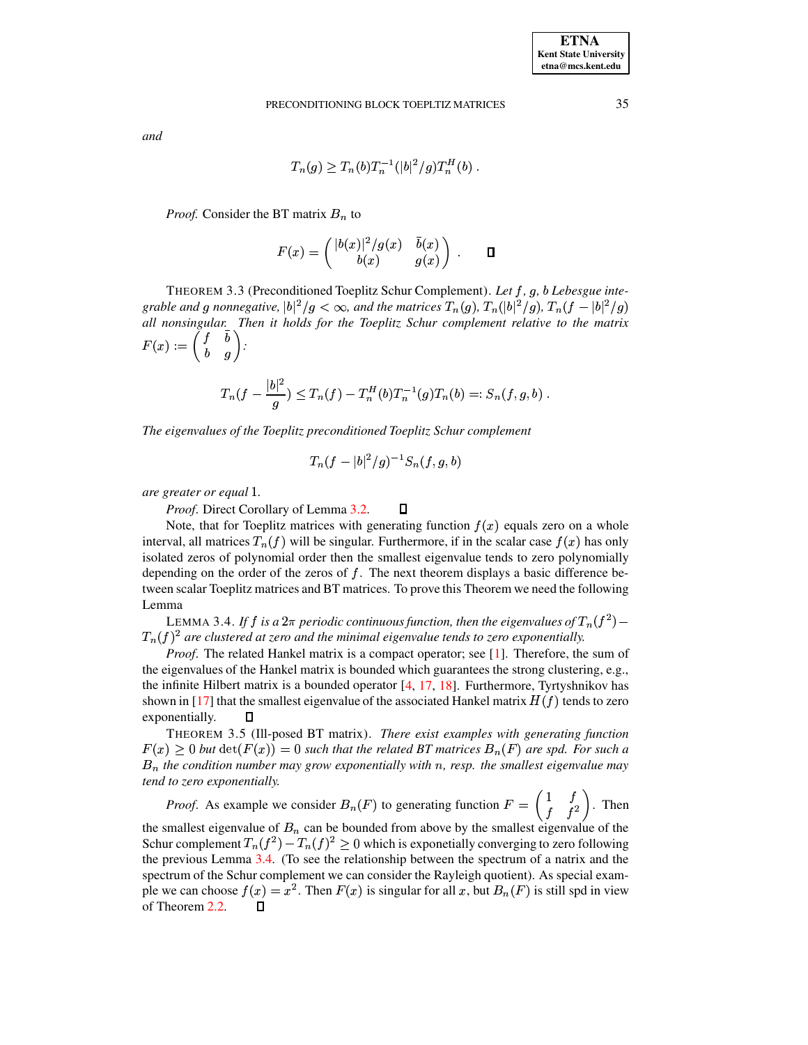and

$$
T_n(g) \geq T_n(b)T_n^{-1}(|b|^2/g)T_n^H(b) .
$$

*Proof.* Consider the BT matrix  $B_n$  to

$$
F(x) = \begin{pmatrix} |b(x)|^2/g(x) & \bar{b}(x) \\ b(x) & g(x) \end{pmatrix} . \qquad \Box
$$

THEOREM 3.3 (Preconditioned Toeplitz Schur Complement). Let f, g, b Lebesgue integrable and g nonnegative,  $|b|^2/g < \infty$ , and the matrices  $T_n(g)$ ,  $T_n(|b|^2/g)$ ,  $T_n(f - |b|^2/g)$ all nonsingular. Then it holds for the Toeplitz Schur complement relative to the matrix  $F(x) := \begin{pmatrix} f & \bar{b} \\ b & q \end{pmatrix}$ .

$$
T_n(f - \frac{|b|^2}{g}) \le T_n(f) - T_n^H(b)T_n^{-1}(g)T_n(b) =: S_n(f, g, b) .
$$

The eigenvalues of the Toeplitz preconditioned Toeplitz Schur complement

$$
T_n(f-|b|^2/g)^{-1}S_n(f,g,b)
$$

are greater or equal 1.

*Proof.* Direct Corollary of Lemma 3.2.  $\Box$ 

Note, that for Toeplitz matrices with generating function  $f(x)$  equals zero on a whole interval, all matrices  $T_n(f)$  will be singular. Furthermore, if in the scalar case  $f(x)$  has only isolated zeros of polynomial order then the smallest eigenvalue tends to zero polynomially depending on the order of the zeros of  $f$ . The next theorem displays a basic difference between scalar Toeplitz matrices and BT matrices. To prove this Theorem we need the following Lemma

<span id="page-4-0"></span>LEMMA 3.4. If f is a  $2\pi$  periodic continuous function, then the eigenvalues of  $T_n(f^2)$  –  $T_n(f)^2$  are clustered at zero and the minimal eigenvalue tends to zero exponentially.

*Proof.* The related Hankel matrix is a compact operator; see [1]. Therefore, the sum of the eigenvalues of the Hankel matrix is bounded which guarantees the strong clustering, e.g., the infinite Hilbert matrix is a bounded operator  $[4, 17, 18]$ . Furthermore, Tyrtyshnikov has shown in [17] that the smallest eigenvalue of the associated Hankel matrix  $H(f)$  tends to zero exponentially. П

THEOREM 3.5 (Ill-posed BT matrix). There exist examples with generating function  $F(x) \geq 0$  but  $\det(F(x)) = 0$  such that the related BT matrices  $B_n(F)$  are spd. For such a  $B_n$  the condition number may grow exponentially with n, resp. the smallest eigenvalue may tend to zero exponentially.

*Proof.* As example we consider  $B_n(F)$  to generating function  $F = \begin{pmatrix} 1 & f \\ f & f^2 \end{pmatrix}$ . Then the smallest eigenvalue of  $B_n$  can be bounded from above by the smallest eigenvalue of the Schur complement  $T_n(f^2) - T_n(f)^2 \ge 0$  which is exponetially converging to zero following the previous Lemma 3.4. (To see the relationship between the spectrum of a natrix and the spectrum of the Schur complement we can consider the Rayleigh quotient). As special example we can choose  $f(x) = x^2$ . Then  $F(x)$  is singular for all x, but  $B_n(F)$  is still spd in view of Theorem 2.2.  $\Box$ 

35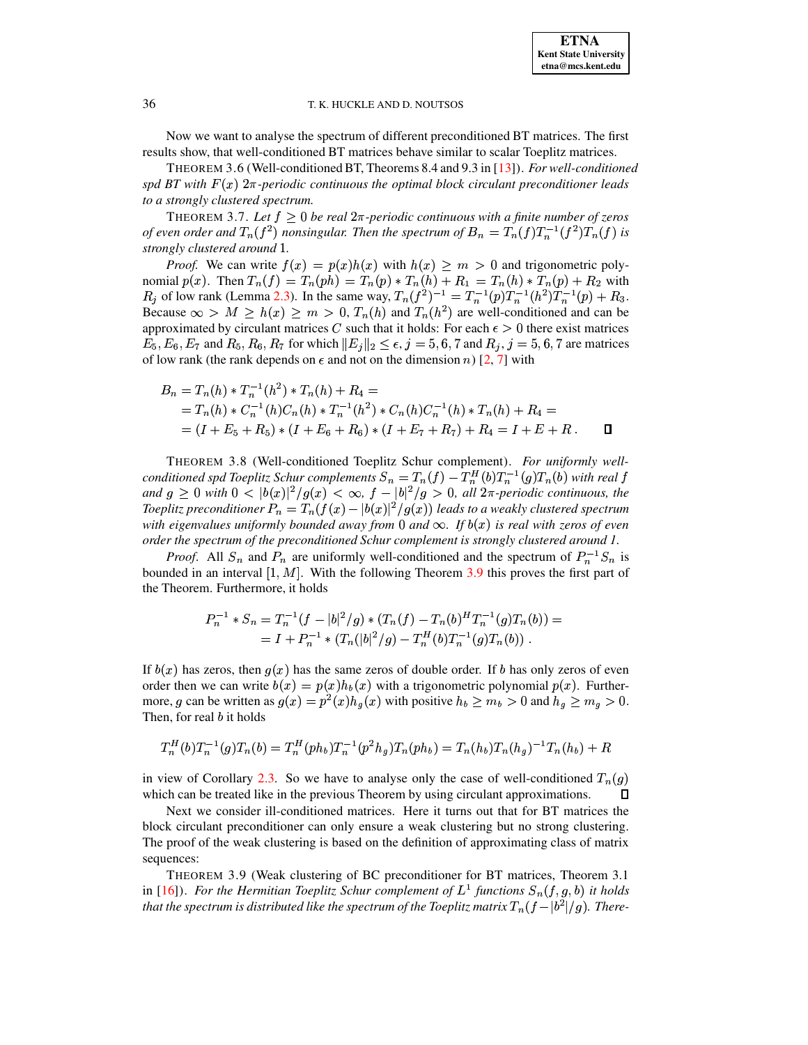<span id="page-5-2"></span>Now we want to analyse the spectrum of different preconditioned BT matrices. The first results show, that well-conditioned BT matrices behave similar to scalar Toeplitz matrices.

THEOREM 3.6 (Well-conditioned BT, Theorems 8.4 and 9.3 in [13]). For well-conditioned spd BT with  $F(x)$   $2\pi$ -periodic continuous the optimal block circulant preconditioner leads to a strongly clustered spectrum.

<span id="page-5-3"></span>THEOREM 3.7. Let  $f \ge 0$  be real  $2\pi$ -periodic continuous with a finite number of zeros of even order and  $T_n(f^2)$  nonsingular. Then the spectrum of  $B_n = T_n(f)T_n^{-1}(f^2)T_n(f)$  is strongly clustered around 1.

*Proof.* We can write  $f(x) = p(x)h(x)$  with  $h(x) \ge m > 0$  and trigonometric polynomial  $p(x)$ . Then  $T_n(f) = T_n(ph) = T_n(p) * T_n(h) + R_1 = T_n(h) * T_n(p) + R_2$  with  $R_j$  of low rank (Lemma 2.3). In the same way,  $T_n(f^2)^{-1} = T_n^{-1}(p)T_n^{-1}(h^2)T_n^{-1}(p) + R_3$ .<br>Because  $\infty > M \ge h(x) \ge m > 0$ ,  $T_n(h)$  and  $T_n(h^2)$  are well-conditioned approximated by circulant matrices C such that it holds: For each  $\epsilon > 0$  there exist matrices  $E_5, E_6, E_7$  and  $R_5, R_6, R_7$  for which  $||E_j||_2 \leq \epsilon$ ,  $j = 5, 6, 7$  and  $R_j, j = 5, 6, 7$  are matrices of low rank (the rank depends on  $\epsilon$  and not on the dimension n) [2, 7] with

$$
B_n = T_n(h) * T_n^{-1}(h^2) * T_n(h) + R_4 =
$$
  
=  $T_n(h) * C_n^{-1}(h)C_n(h) * T_n^{-1}(h^2) * C_n(h)C_n^{-1}(h) * T_n(h) + R_4 =$   
=  $(I + E_5 + R_5) * (I + E_6 + R_6) * (I + E_7 + R_7) + R_4 = I + E + R.$ 

<span id="page-5-1"></span>THEOREM 3.8 (Well-conditioned Toeplitz Schur complement). For uniformly wellconditioned spd Toeplitz Schur complements  $S_n = T_n(f) - T_n^H(b)T_n^{-1}(g)T_n(b)$  with real f and  $g \ge 0$  with  $0 < |b(x)|^2/g(x) < \infty$ ,  $f - |b|^2/g > 0$ , all  $2\pi$ -periodic continuous, the Toeplitz preconditioner  $P_n = T_n(f(x) - |b(x)|^2/g(x))$  leads to a weakly clustered spectrum with eigenvalues uniformly bounded away from 0 and  $\infty$ . If  $b(x)$  is real with zeros of even order the spectrum of the preconditioned Schur complement is strongly clustered around 1.

*Proof.* All  $S_n$  and  $P_n$  are uniformly well-conditioned and the spectrum of  $P_n^{-1}S_n$  is bounded in an interval  $[1, M]$ . With the following Theorem 3.9 this proves the first part of the Theorem. Furthermore, it holds

$$
P_n^{-1} * S_n = T_n^{-1}(f - |b|^2/g) * (T_n(f) - T_n(b)^H T_n^{-1}(g) T_n(b)) =
$$
  
=  $I + P_n^{-1} * (T_n(|b|^2/g) - T_n^H(b) T_n^{-1}(g) T_n(b))$ .

If  $b(x)$  has zeros, then  $g(x)$  has the same zeros of double order. If b has only zeros of even order then we can write  $b(x) = p(x)h_b(x)$  with a trigonometric polynomial  $p(x)$ . Furthermore, g can be written as  $g(x) = p^2(x)h_g(x)$  with positive  $h_b \ge m_b > 0$  and  $h_g \ge m_g > 0$ . Then, for real  $b$  it holds

$$
T_n^H(b)T_n^{-1}(g)T_n(b) = T_n^H(ph_b)T_n^{-1}(p^2h_g)T_n(ph_b) = T_n(h_b)T_n(h_g)^{-1}T_n(h_b) + R
$$

in view of Corollary 2.3. So we have to analyse only the case of well-conditioned  $T_n(g)$ which can be treated like in the previous Theorem by using circulant approximations. П

Next we consider ill-conditioned matrices. Here it turns out that for BT matrices the block circulant preconditioner can only ensure a weak clustering but no strong clustering. The proof of the weak clustering is based on the definition of approximating class of matrix sequences:

<span id="page-5-0"></span>THEOREM 3.9 (Weak clustering of BC preconditioner for BT matrices, Theorem 3.1 in [16]). For the Hermitian Toeplitz Schur complement of  $L^1$  functions  $S_n(f, g, b)$  it holds that the spectrum is distributed like the spectrum of the Toeplitz matrix  $T_n(f-|b^2|/g)$ . There-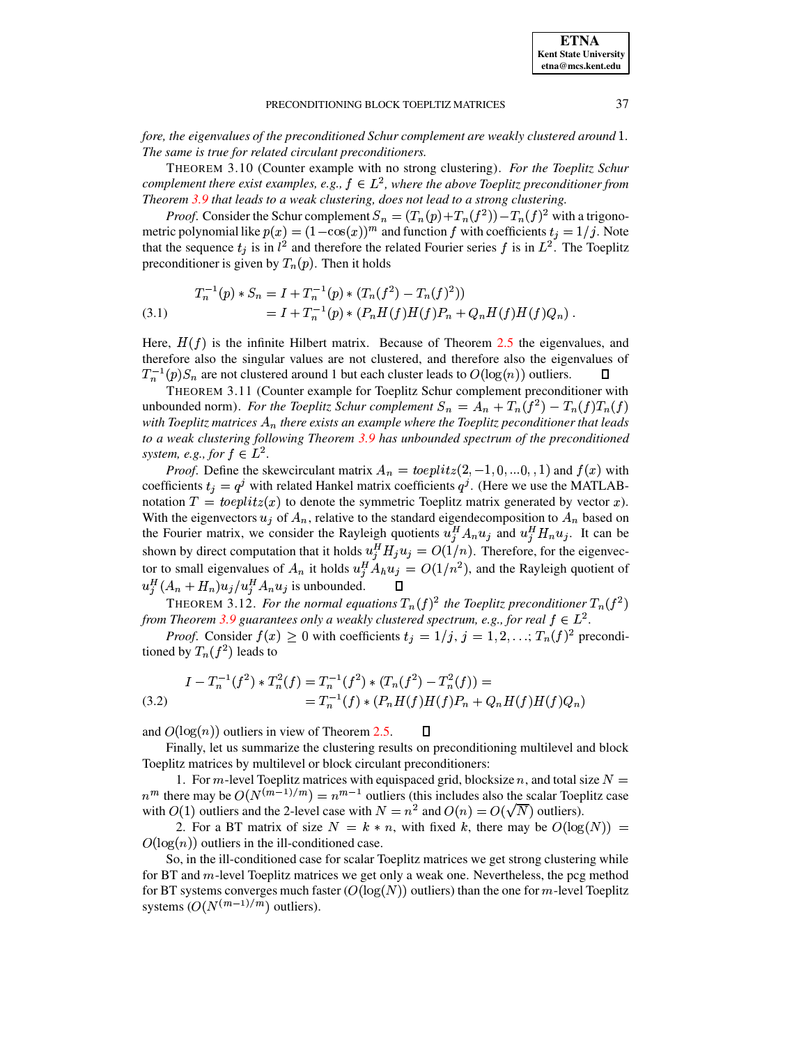<span id="page-6-0"></span>fore, the eigenvalues of the preconditioned Schur complement are weakly clustered around 1. The same is true for related circulant preconditioners.

THEOREM 3.10 (Counter example with no strong clustering). For the Toeplitz Schur complement there exist examples, e.g.,  $f \in L^2$ , where the above Toeplitz preconditioner from Theorem 3.9 that leads to a weak clustering, does not lead to a strong clustering.

*Proof.* Consider the Schur complement  $S_n = (T_n(p) + T_n(f^2)) - T_n(f)^2$  with a trigonometric polynomial like  $p(x) = (1 - \cos(x))^m$  and function f with coefficients  $t_i = 1/j$ . Note that the sequence  $t_i$  is in  $l^2$  and therefore the related Fourier series f is in  $L^2$ . The Toeplitz preconditioner is given by  $T_n(p)$ . Then it holds

(3.1) 
$$
T_n^{-1}(p) * S_n = I + T_n^{-1}(p) * (T_n(f^2) - T_n(f)^2))
$$

$$
= I + T_n^{-1}(p) * (P_n H(f) H(f) P_n + Q_n H(f) H(f) Q_n).
$$

Here,  $H(f)$  is the infinite Hilbert matrix. Because of Theorem 2.5 the eigenvalues, and therefore also the singular values are not clustered, and therefore also the eigenvalues of  $T_n^{-1}(p)S_n$  are not clustered around 1 but each cluster leads to  $O(log(n))$  outliers.

THEOREM 3.11 (Counter example for Toeplitz Schur complement preconditioner with unbounded norm). For the Toeplitz Schur complement  $S_n = A_n + T_n(f^2) - T_n(f)T_n(f)$ with Toeplitz matrices  $A_n$  there exists an example where the Toeplitz peconditioner that leads to a weak clustering following Theorem 3.9 has unbounded spectrum of the preconditioned system, e.g., for  $f \in L^2$ .

*Proof.* Define the skewcirculant matrix  $A_n = \text{to}$ eplitz $(2, -1, 0, \ldots, 0, 1)$  and  $f(x)$  with coefficients  $t_i = q^j$  with related Hankel matrix coefficients  $q^j$ . (Here we use the MATLABnotation  $T = toeplitz(x)$  to denote the symmetric Toeplitz matrix generated by vector x). With the eigenvectors  $u_i$  of  $A_n$ , relative to the standard eigendecomposition to  $A_n$  based on the Fourier matrix, we consider the Rayleigh quotients  $u_j^H A_n u_j$  and  $u_j^H H_n u_j$ . It can be shown by direct computation that it holds  $u_j^H H_j u_j = O(1/n)$ . Therefore, for the eigenvector to small eigenvalues of  $A_n$  it holds  $u_i^H A_h u_j = O(1/n^2)$ , and the Rayleigh quotient of  $u_j^H(A_n + H_n)u_j/u_j^H A_n u_j$  is unbounded. О

THEOREM 3.12. For the normal equations  $T_n(f)^2$  the Toeplitz preconditioner  $T_n(f^2)$ from Theorem 3.9 guarantees only a weakly clustered spectrum, e.g., for real  $f \in L^2$ .

*Proof.* Consider  $f(x) \ge 0$  with coefficients  $t_j = 1/j$ ,  $j = 1, 2, ...$ ;  $T_n(f)^2$  preconditioned by  $T_n(f^2)$  leads to

$$
(3.2) \quad I - T_n^{-1}(f^2) * T_n^2(f) = T_n^{-1}(f^2) * (T_n(f^2) - T_n^2(f)) =
$$
  

$$
= T_n^{-1}(f) * (P_n H(f) H(f) P_n + Q_n H(f) H(f) Q_n)
$$

and  $O(log(n))$  outliers in view of Theorem 2.5.

Finally, let us summarize the clustering results on preconditioning multilevel and block Toeplitz matrices by multilevel or block circulant preconditioners:

 $\Box$ 

1. For m-level Toeplitz matrices with equispaced grid, blocksize n, and total size  $N =$  $n^m$  there may be  $O(N^{(m-1)/m}) = n^{m-1}$  outliers (this includes also the scalar Toeplitz case with  $O(1)$  outliers and the 2-level case with  $N = n^2$  and  $O(n) = O(\sqrt{N})$  outliers).

2. For a BT matrix of size  $N = k * n$ , with fixed k, there may be  $O(log(N))$  =  $O(\log(n))$  outliers in the ill-conditioned case.

So, in the ill-conditioned case for scalar Toeplitz matrices we get strong clustering while for BT and  $m$ -level Toeplitz matrices we get only a weak one. Nevertheless, the pcg method for BT systems converges much faster  $(O(\log(N)))$  outliers) than the one for m-level Toeplitz systems  $(O(N^{(m-1)/m})$  outliers).

37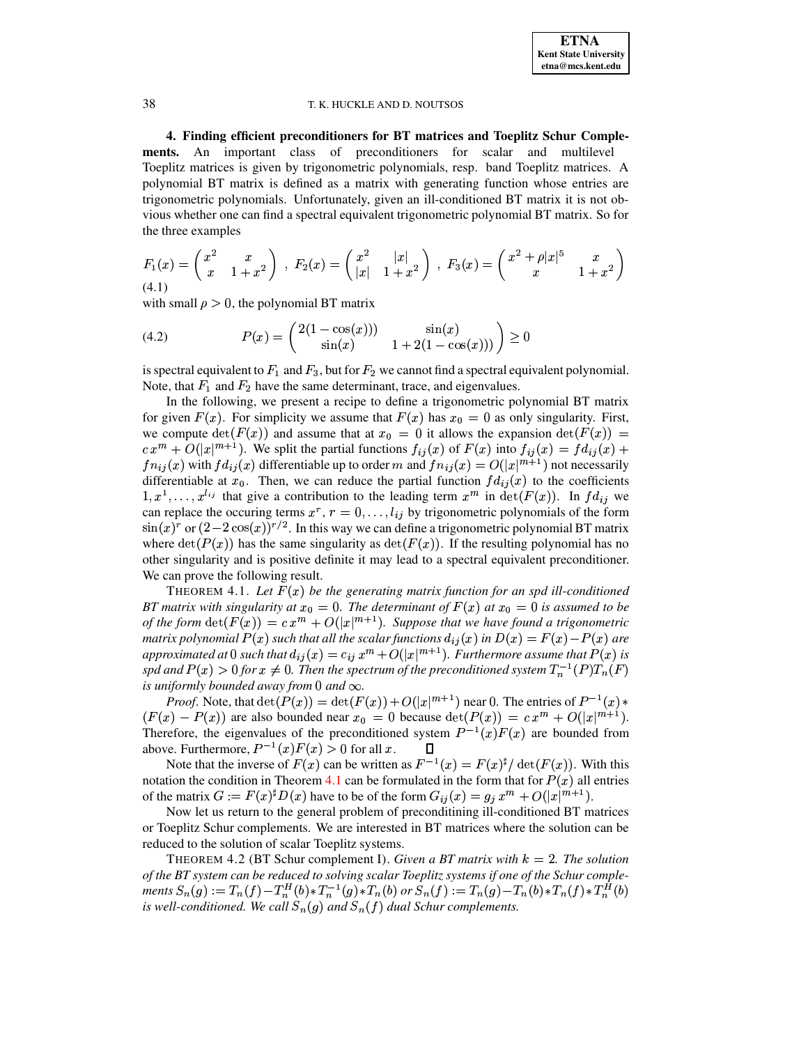<span id="page-7-0"></span>4. Finding efficient preconditioners for BT matrices and Toeplitz Schur Complements. An important class of preconditioners for scalar and multilevel Toeplitz matrices is given by trigonometric polynomials, resp. band Toeplitz matrices. A polynomial BT matrix is defined as a matrix with generating function whose entries are trigonometric polynomials. Unfortunately, given an ill-conditioned BT matrix it is not obvious whether one can find a spectral equivalent trigonometric polynomial BT matrix. So for the three examples

<span id="page-7-2"></span>
$$
F_1(x) = \begin{pmatrix} x^2 & x \\ x & 1+x^2 \end{pmatrix}, \ F_2(x) = \begin{pmatrix} x^2 & |x| \\ |x| & 1+x^2 \end{pmatrix}, \ F_3(x) = \begin{pmatrix} x^2 + \rho |x|^5 & x \\ x & 1+x^2 \end{pmatrix}
$$
  
(4.1)

with small  $\rho > 0$ , the polynomial BT matrix

<span id="page-7-3"></span>(4.2) 
$$
P(x) = \begin{pmatrix} 2(1 - \cos(x))) & \sin(x) \\ \sin(x) & 1 + 2(1 - \cos(x))) \end{pmatrix} \ge 0
$$

is spectral equivalent to  $F_1$  and  $F_3$ , but for  $F_2$  we cannot find a spectral equivalent polynomial. Note, that  $F_1$  and  $F_2$  have the same determinant, trace, and eigenvalues.

In the following, we present a recipe to define a trigonometric polynomial BT matrix for given  $F(x)$ . For simplicity we assume that  $F(x)$  has  $x_0 = 0$  as only singularity. First, we compute  $\det(F(x))$  and assume that at  $x_0 = 0$  it allows the expansion  $\det(F(x)) =$  $c x^m + O(|x|^{m+1})$ . We split the partial functions  $f_{ij}(x)$  of  $F(x)$  into  $f_{ij}(x) = f d_{ij}(x) +$  $f n_{ij}(x)$  with  $f d_{ij}(x)$  differentiable up to order m and  $f n_{ij}(x) = O(|x|^{m+1})$  not necessarily differentiable at  $x_0$ . Then, we can reduce the partial function  $fd_{ij}(x)$  to the coefficients  $1, x^1, \ldots, x^{l_{ij}}$  that give a contribution to the leading term  $x^m$  in  $\det(F(x))$ . In  $fd_{ij}$  we can replace the occuring terms  $x^r$ ,  $r = 0, \ldots, l_{ij}$  by trigonometric polynomials of the form  $\sin(x)^r$  or  $(2-2\cos(x))^{r/2}$ . In this way we can define a trigonometric polynomial BT matrix where  $det(P(x))$  has the same singularity as  $det(F(x))$ . If the resulting polynomial has no other singularity and is positive definite it may lead to a spectral equivalent preconditioner. We can prove the following result.

<span id="page-7-1"></span>THEOREM 4.1. Let  $F(x)$  be the generating matrix function for an spd ill-conditioned BT matrix with singularity at  $x_0 = 0$ . The determinant of  $F(x)$  at  $x_0 = 0$  is assumed to be of the form  $\det(F(x)) = c x^m + O(|x|^{m+1})$ . Suppose that we have found a trigonometric matrix polynomial  $P(x)$  such that all the scalar functions  $d_{ij}(x)$  in  $D(x) = F(x) - P(x)$  are approximated at 0 such that  $d_{ij}(x) = c_{ij} x^m + O(|x|^{m+1})$ . Furthermore assume that  $P(x)$  is spd and  $P(x) > 0$  for  $x \neq 0$ . Then the spectrum of the preconditioned system  $T_n^{-1}(P)T_n(F)$ is uniformly bounded away from 0 and  $\infty$ .

*Proof.* Note, that  $\det(P(x)) = \det(F(x)) + O(|x|^{m+1})$  near 0. The entries of  $P^{-1}(x)$  $(F(x) - P(x))$  are also bounded near  $x_0 = 0$  because  $\det(P(x)) = cx^m + O(|x|^{m+1})$ . Therefore, the eigenvalues of the preconditioned system  $P^{-1}(x)F(x)$  are bounded from above. Furthermore,  $P^{-1}(x)F(x) > 0$  for all x.  $\Box$ 

Note that the inverse of  $F(x)$  can be written as  $F^{-1}(x) = F(x)^{\sharp}/\det(F(x))$ . With this notation the condition in Theorem 4.1 can be formulated in the form that for  $P(x)$  all entries of the matrix  $G := F(x)^{\sharp} D(x)$  have to be of the form  $G_{ij}(x) = g_j x^m + O(|x|^{m+1}).$ 

Now let us return to the general problem of preconditining ill-conditioned BT matrices or Toeplitz Schur complements. We are interested in BT matrices where the solution can be reduced to the solution of scalar Toeplitz systems.

<span id="page-7-4"></span>THEOREM 4.2 (BT Schur complement I). Given a BT matrix with  $k = 2$ . The solution of the BT system can be reduced to solving scalar Toeplitz systems if one of the Schur complements  $S_n(g) := T_n(f) - T_n^H(b) * T_n^{-1}(g) * T_n(b)$  or  $S_n(f) := T_n(g) - T_n(b) * T_n(f) * T_n^H(b)$ is well-conditioned. We call  $S_n(g)$  and  $S_n(f)$  dual Schur complements.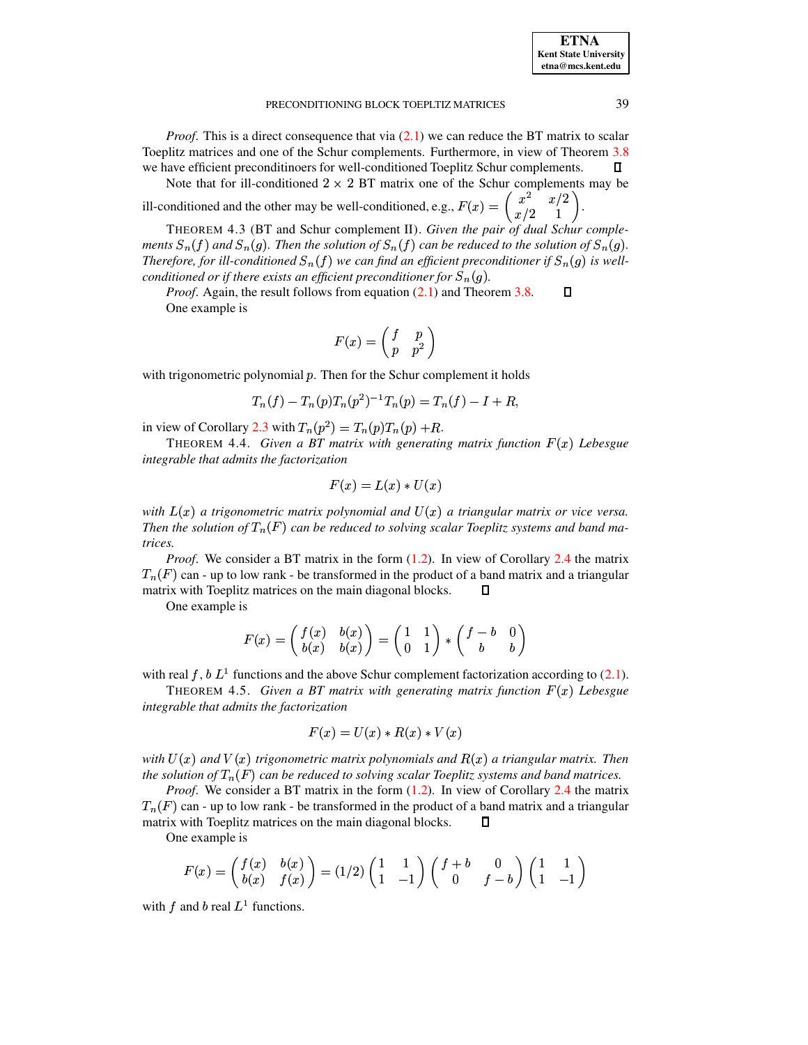| <b>ETNA</b>                  |
|------------------------------|
| <b>Kent State University</b> |
| etna@mcs.kent.edu            |

*Proof.* This is a direct consequence that via  $(2.1)$  we can reduce the BT matrix to scalar Toeplitz matrices and one of the Schur complements. Furthermore, in view of Theorem [3.8](#page-5-1) we have efficient preconditinoers for well-conditioned Toeplitz Schur complements. D.

Note that for ill-conditioned  $2 \times 2$  BT matrix one of the Schur complements may be ill-conditioned and the other may be well-conditioned, e.g.,  $F(x) = \begin{pmatrix} x^2 & x/2 \\ x/2 & 1 \end{pmatrix}$ .

THEOREM 4.3 (BT and Schur complement II). *Given the pair of dual Schur comple* $m$ ents  $S_n(f)$  and  $S_n(g)$ . Then the solution of  $S_n(f)$  can be reduced to the solution of  $S_n(g)$ . Therefore, for ill-conditioned  $S_n(f)$  we can find an efficient preconditioner if  $S_n(g)$  is wellconditioned or if there exists an efficient preconditioner for  $S_n(g)$ .

 $\Box$ *Proof.* Again, the result follows from equation [\(2.1\)](#page-3-3) and Theorem [3.8.](#page-5-1) One example is

$$
F(x)=\left(\!\!\begin{array}{cc}f&p\\p&p^2\end{array}\!\!\right)
$$

with trigonometric polynomial  $p$ . Then for the Schur complement it holds

$$
T_n(f) - T_n(p)T_n(p^2)^{-1}T_n(p) = T_n(f) - I + R,
$$

in view of Corollary 2.3 with  $T_n(p^2) = T_n(p)T_n(p) + R$ .

THEOREM 4.4. *Given a BT matrix with generating matrix function*  $F(x)$  *Lebesgue integrable that admits the factorization*

$$
F(x) = L(x) * U(x)
$$

*with*  $L(x)$  *a trigonometric matrix polynomial and*  $U(x)$  *a triangular matrix or vice versa. Then* the solution of  $T_n(F)$  can be reduced to solving scalar Toeplitz systems and band ma*trices.*

*Proof.* We consider a BT matrix in the form  $(1.2)$ . In view of Corollary [2.4](#page-2-4) the matrix  $T_n(F)$  can - up to low rank - be transformed in the product of a band matrix and a triangular matrix with Toeplitz matrices on the main diagonal blocks. 0

One example is

$$
F(x)=\left(\begin{matrix} f(x)&b(x)\\b(x)&b(x) \end{matrix}\right)=\left(\begin{matrix} 1&1\\0&1 \end{matrix}\right)\ast \left(\begin{matrix} f-b&0\\b&b \end{matrix}\right)
$$

<span id="page-8-0"></span>with real f, b  $L^1$  functions and the above Schur complement factorization according to [\(2.1\)](#page-3-3).

THEOREM 4.5. *Given a BT matrix with generating matrix function*  $F(x)$  *Lebesgue integrable that admits the factorization*

$$
F(x) = U(x) * R(x) * V(x)
$$

*with*  $U(x)$  *and*  $V(x)$  *trigonometric matrix polynomials and*  $R(x)$  *a triangular matrix. Then the solution of*  $T_n(F)$  *can be reduced to solving scalar Toeplitz systems and band matrices.* 

*Proof.* We consider a BT matrix in the form  $(1.2)$ . In view of Corollary [2.4](#page-2-4) the matrix  $T_n(F)$  can - up to low rank - be transformed in the product of a band matrix and a triangular matrix with Toeplitz matrices on the main diagonal blocks. О

One example is

$$
F(x)=\left(\begin{matrix} f(x)&b(x)\\b(x)&f(x)\end{matrix}\right)=(1/2)\left(\begin{matrix} 1&1\\1&-1\end{matrix}\right)\left(\begin{matrix} f+b&0\\0&f-b\end{matrix}\right)\left(\begin{matrix} 1&1\\1&-1\end{matrix}\right)
$$

with f and b real  $L^1$  functions.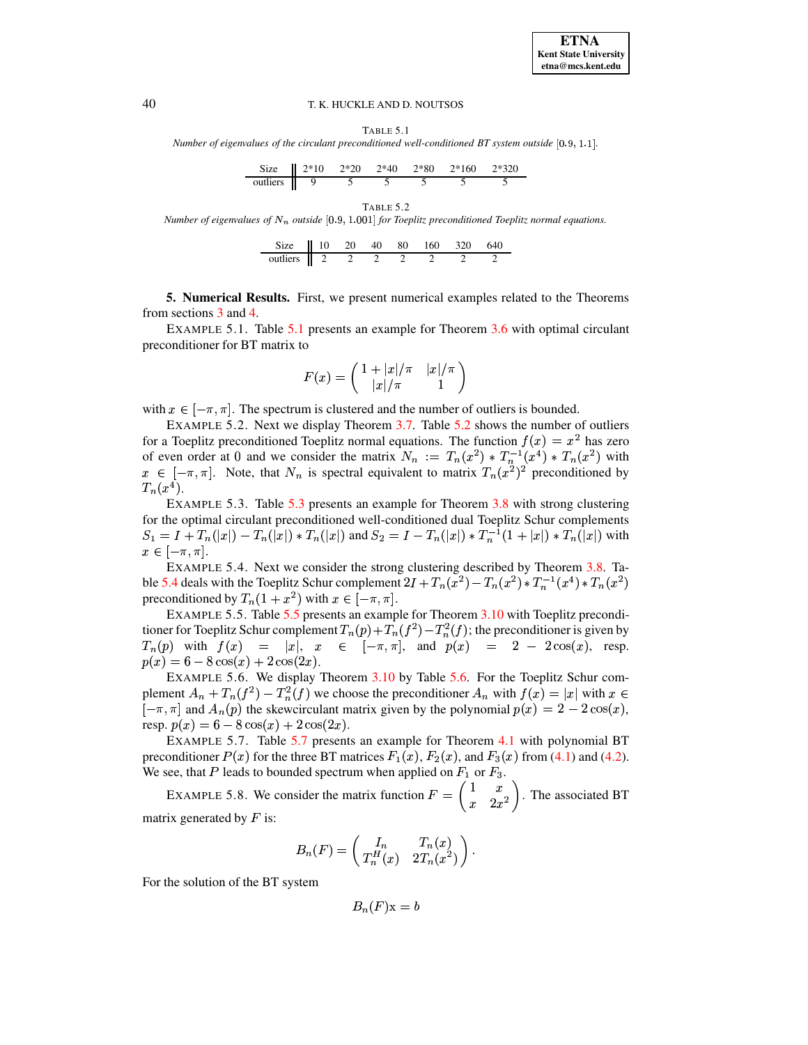TABLE 5.1

<span id="page-9-1"></span>Number of eigenvalues of the circulant preconditioned well-conditioned BT system outside  $[0.9, 1.1]$ .

| Size $\parallel$ 2*10 2*20 2*40 2*80 2*160 2*320 |  |  |  |
|--------------------------------------------------|--|--|--|
| outliers $\parallel$ 9                           |  |  |  |

<span id="page-9-2"></span>Number of eigenvalues of  $N_n$  outside [0.9, 1.001] for Toeplitz preconditioned Toeplitz normal equations.

 $\overline{\phantom{0}}$ 

| Size    10 20 40 80                            |  |  | 160 | 320 | 640 |
|------------------------------------------------|--|--|-----|-----|-----|
| outliers $\begin{vmatrix} 2 & 2 \end{vmatrix}$ |  |  |     |     |     |

<span id="page-9-0"></span>5. Numerical Results. First, we present numerical examples related to the Theorems from sections  $3$  and  $4$ .

EXAMPLE 5.1. Table 5.1 presents an example for Theorem 3.6 with optimal circulant preconditioner for BT matrix to

$$
F(x) = \begin{pmatrix} 1+|x|/\pi & |x|/\pi \\ |x|/\pi & 1 \end{pmatrix}
$$

with  $x \in [-\pi, \pi]$ . The spectrum is clustered and the number of outliers is bounded.

EXAMPLE 5.2. Next we display Theorem 3.7. Table 5.2 shows the number of outliers for a Toeplitz preconditioned Toeplitz normal equations. The function  $f(x) = x^2$  has zero of even order at 0 and we consider the matrix  $N_n := T_n(x^2) * T_n^{-1}(x^4) * T_n(x^2)$  with  $x \in [-\pi, \pi]$ . Note, that  $N_n$  is spectral equivalent to matrix  $T_n(x^2)^2$  preconditioned by  $T_n(x^4)$ .

EXAMPLE 5.3. Table 5.3 presents an example for Theorem 3.8 with strong clustering for the optimal circulant preconditioned well-conditioned dual Toeplitz Schur complements  $S_1 = I + T_n(|x|) - T_n(|x|) * T_n(|x|)$  and  $S_2 = I - T_n(|x|) * T_n^{-1}(1 + |x|) * T_n(|x|)$  with  $x \in [-\pi, \pi].$ 

EXAMPLE 5.4. Next we consider the strong clustering described by Theorem 3.8. Table 5.4 deals with the Toeplitz Schur complement  $2I + T_n(x^2) - T_n(x^2) * T_n^{-1}(x^4) * T_n(x^2)$ preconditioned by  $T_n(1+x^2)$  with  $x \in [-\pi, \pi]$ .

EXAMPLE 5.5. Table 5.5 presents an example for Theorem 3.10 with Toeplitz preconditioner for Toeplitz Schur complement  $T_n(p) + T_n(f^2) - T_n^2(f)$ ; the preconditioner is given by  $T_n(p)$  with  $f(x) = |x|, x \in [-\pi, \pi],$  and  $p(x) = 2 - 2\cos(x),$  resp.  $p(x) = 6 - 8\cos(x) + 2\cos(2x).$ 

EXAMPLE 5.6. We display Theorem 3.10 by Table 5.6. For the Toeplitz Schur complement  $A_n + T_n(f^2) - T_n^2(f)$  we choose the preconditioner  $A_n$  with  $f(x) = |x|$  with  $x \in$  $[-\pi, \pi]$  and  $A_n(p)$  the skewcirculant matrix given by the polynomial  $p(x) = 2 - 2\cos(x)$ , resp.  $p(x) = 6 - 8 \cos(x) + 2 \cos(2x)$ .

EXAMPLE 5.7. Table 5.7 presents an example for Theorem 4.1 with polynomial BT preconditioner  $P(x)$  for the three BT matrices  $F_1(x)$ ,  $F_2(x)$ , and  $F_3(x)$  from (4.1) and (4.2). We see, that P leads to bounded spectrum when applied on  $F_1$  or  $F_3$ .

<span id="page-9-3"></span>EXAMPLE 5.8. We consider the matrix function  $F = \begin{pmatrix} 1 & x \\ x & 2x^2 \end{pmatrix}$ . The associated BT matrix generated by  $F$  is:

$$
B_n(F) = \begin{pmatrix} I_n & T_n(x) \\ T_n^H(x) & 2T_n(x^2) \end{pmatrix}.
$$

For the solution of the BT system

 $B_n(F)\mathbf{x} = b$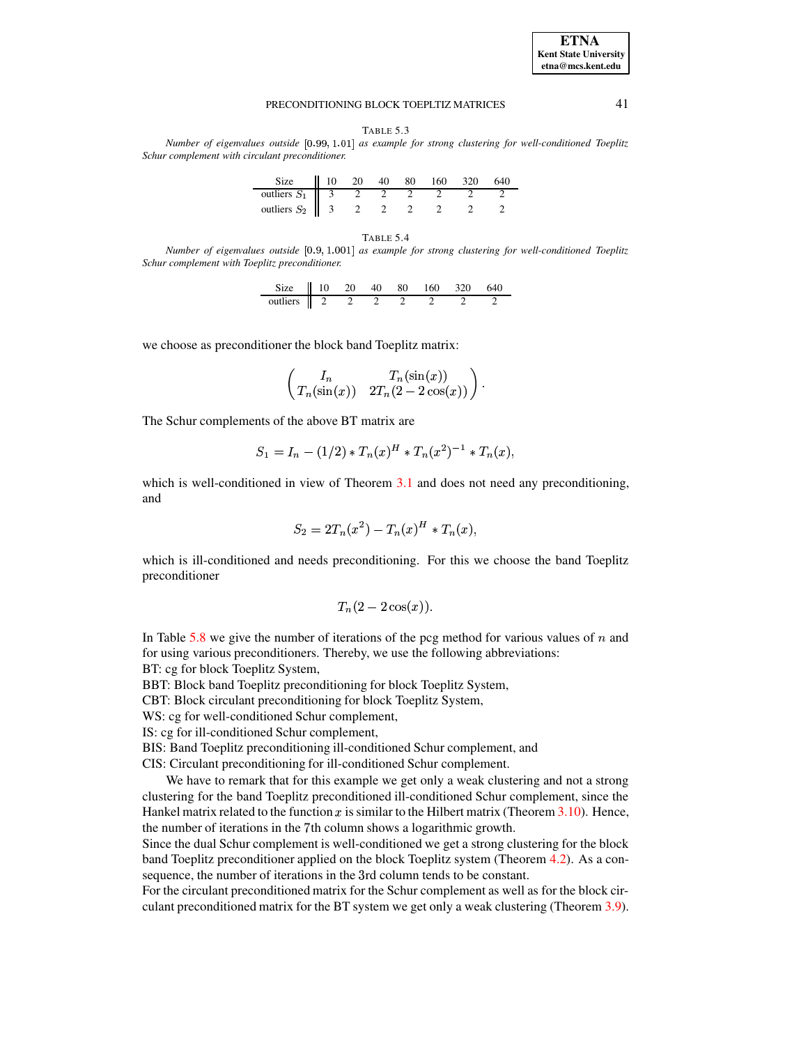## **ETNA Kent State University**  $etna@mcs. kent.edu$

#### PRECONDITIONING BLOCK TOEPLTIZ MATRICES

TABLE 5.3

<span id="page-10-0"></span>Number of eigenvalues outside [0.99, 1.01] as example for strong clustering for well-conditioned Toeplitz Schur complement with circulant preconditioner.

|                                        | $\parallel$ 10 | 20 | 40 | 80 | 160 | 320 |  |
|----------------------------------------|----------------|----|----|----|-----|-----|--|
| outliers $S_1 \parallel 3 \parallel 2$ |                |    |    |    |     |     |  |
| outliers $S_2$   3                     |                |    |    |    |     |     |  |

**TABLE 5.4** 

<span id="page-10-1"></span>Number of eigenvalues outside [0.9, 1.001] as example for strong clustering for well-conditioned Toeplitz Schur complement with Toeplitz preconditioner.

| Size    10 20 40 80 160 320 640 |  |  |  |  |
|---------------------------------|--|--|--|--|
| outliers $\parallel$ 2 2        |  |  |  |  |

we choose as preconditioner the block band Toeplitz matrix:

$$
\begin{pmatrix} I_n & T_n(\sin(x)) \\ T_n(\sin(x)) & 2T_n(2-2\cos(x)) \end{pmatrix}.
$$

The Schur complements of the above BT matrix are

$$
S_1 = I_n - (1/2) * T_n(x)^H * T_n(x^2)^{-1} * T_n(x),
$$

which is well-conditioned in view of Theorem  $3.1$  and does not need any preconditioning, and

$$
S_2 = 2T_n(x^2) - T_n(x)^H * T_n(x),
$$

which is ill-conditioned and needs preconditioning. For this we choose the band Toeplitz preconditioner

$$
T_n(2-2\cos(x)).
$$

In Table 5.8 we give the number of iterations of the pcg method for various values of  $n$  and for using various preconditioners. Thereby, we use the following abbreviations:

BT: cg for block Toeplitz System,

BBT: Block band Toeplitz preconditioning for block Toeplitz System,

CBT: Block circulant preconditioning for block Toeplitz System,

WS: cg for well-conditioned Schur complement,

IS: cg for ill-conditioned Schur complement,

BIS: Band Toeplitz preconditioning ill-conditioned Schur complement, and

CIS: Circulant preconditioning for ill-conditioned Schur complement.

We have to remark that for this example we get only a weak clustering and not a strong clustering for the band Toeplitz preconditioned ill-conditioned Schur complement, since the Hankel matrix related to the function  $x$  is similar to the Hilbert matrix (Theorem 3.10). Hence, the number of iterations in the 7th column shows a logarithmic growth.

Since the dual Schur complement is well-conditioned we get a strong clustering for the block band Toeplitz preconditioner applied on the block Toeplitz system (Theorem 4.2). As a consequence, the number of iterations in the 3rd column tends to be constant.

For the circulant preconditioned matrix for the Schur complement as well as for the block circulant preconditioned matrix for the BT system we get only a weak clustering (Theorem 3.9).

41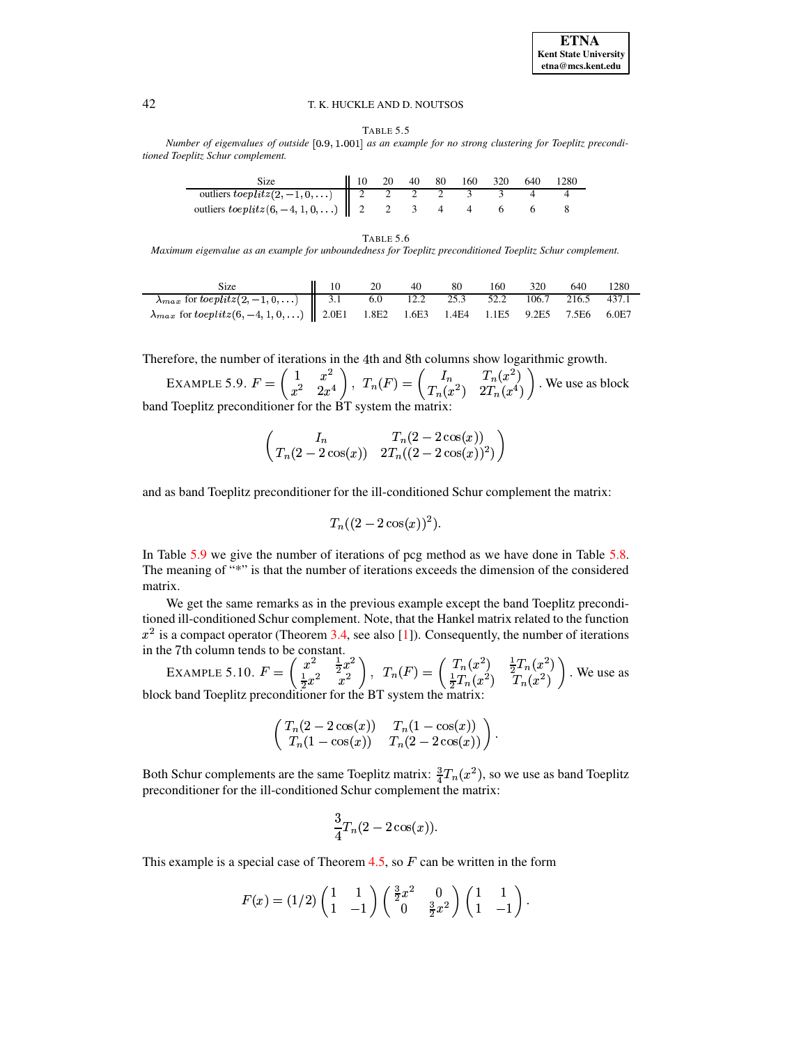TABLE 5.5

<span id="page-11-0"></span>*Number of eigenvalues of outside as an example for no strong clustering for Toeplitz preconditioned Toeplitz Schur complement.*

|                                                      |  | 40 80 | 160 320 | 640 | 1280 |
|------------------------------------------------------|--|-------|---------|-----|------|
| outliers toeplitz $(2, -1, 0, )$ 2 2 2 3 3 4         |  |       |         |     |      |
| outliers <i>toeplitz</i> (6, -4, 1, 0, )   2 2 3 4 4 |  |       |         |     |      |

| L<br>R<br>F | ١ |
|-------------|---|
|-------------|---|

*Maximum eigenvalue as an example for unboundedness for Toeplitz preconditioned Toeplitz Schur complement.*

<span id="page-11-1"></span>

| Size                                                                                          | $\blacksquare$ 10 | 20 | 40 | - 80 | 160 | 320 | 640 | 1280 |
|-----------------------------------------------------------------------------------------------|-------------------|----|----|------|-----|-----|-----|------|
| $\lambda_{max}$ for toeplitz $(2, -1, 0, )$ 3.1 6.0 12.2 25.3 52.2 106.7 216.5 437.1          |                   |    |    |      |     |     |     |      |
| $\lambda_{max}$ for toeplitz(6, -4, 1, 0, )   2.0E1 1.8E2 1.6E3 1.4E4 1.1E5 9.2E5 7.5E6 6.0E7 |                   |    |    |      |     |     |     |      |

<span id="page-11-2"></span>Therefore, the number of iterations in the 4th and 8th columns show logarithmic growth.

EXAMPLE 5.9.  $F = \begin{pmatrix} 1 & x \\ -2 & 2 & 4 \end{pmatrix}$  $\begin{pmatrix} 1 & x^2 \ x^2 & 2x^4 \end{pmatrix}$ ,  $T_n(F) = \begin{pmatrix} I_n & T_n(x^2) \ T_n(x^2) & 2T_n(x^4) \end{pmatrix}$ .  $T_n(x^2)$   $2T_n(x^4)$  | we use a . We use as block band Toeplitz preconditioner for the BT system the matrix:

$$
\left(\begin{array}{cc} I_n & T_n(2-2\cos(x)) \\ T_n(2-2\cos(x)) & 2T_n((2-2\cos(x))^2) \end{array}\right)
$$

and as band Toeplitz preconditioner for the ill-conditioned Schur complement the matrix:

$$
T_n((2-2\cos(x))^2).
$$

In Table [5.9](#page-13-9) we give the number of iterations of pcg method as we have done in Table [5.8.](#page-12-2) The meaning of "\*" is that the number of iterations exceeds the dimension of the considered matrix.

We get the same remarks as in the previous example except the band Toeplitz preconditioned ill-conditioned Schur complement. Note, that the Hankel matrix related to the function  $x^2$  is a compact operator (Theorem [3.4,](#page-4-0) see also [\[1\]](#page-13-7)). Consequently, the number of iterations in the 7th column tends to be constant. 44 Million St.

<span id="page-11-3"></span>EXAMPLE 5.10. 
$$
F = \begin{pmatrix} x^2 & \frac{1}{2}x^2 \\ \frac{1}{2}x^2 & x^2 \end{pmatrix}, T_n(F) = \begin{pmatrix} T_n(x^2) & \frac{1}{2}T_n(x^2) \\ \frac{1}{2}T_n(x^2) & T_n(x^2) \end{pmatrix}.
$$
 We use as block band Toeplitz preconditioner for the BT system the matrix:

$$
\begin{pmatrix}\nT_n(2 - 2\cos(x)) & T_n(1 - \cos(x)) \\
T_n(1 - \cos(x)) & T_n(2 - 2\cos(x))\n\end{pmatrix}.
$$

Both Schur complements are the same Toeplitz matrix:  $\frac{3}{4}T_n(x^2)$ , so we use as band Toeplitz preconditioner for the ill-conditioned Schur complement the matrix:

$$
\frac{3}{4}T_n(2-2\cos(x)).
$$

This example is a special case of Theorem  $4.5$ , so  $F$  can be written in the form

$$
F(x) = (1/2) \begin{pmatrix} 1 & 1 \\ 1 & -1 \end{pmatrix} \begin{pmatrix} \frac{3}{2}x^2 & 0 \\ 0 & \frac{3}{2}x^2 \end{pmatrix} \begin{pmatrix} 1 & 1 \\ 1 & -1 \end{pmatrix}.
$$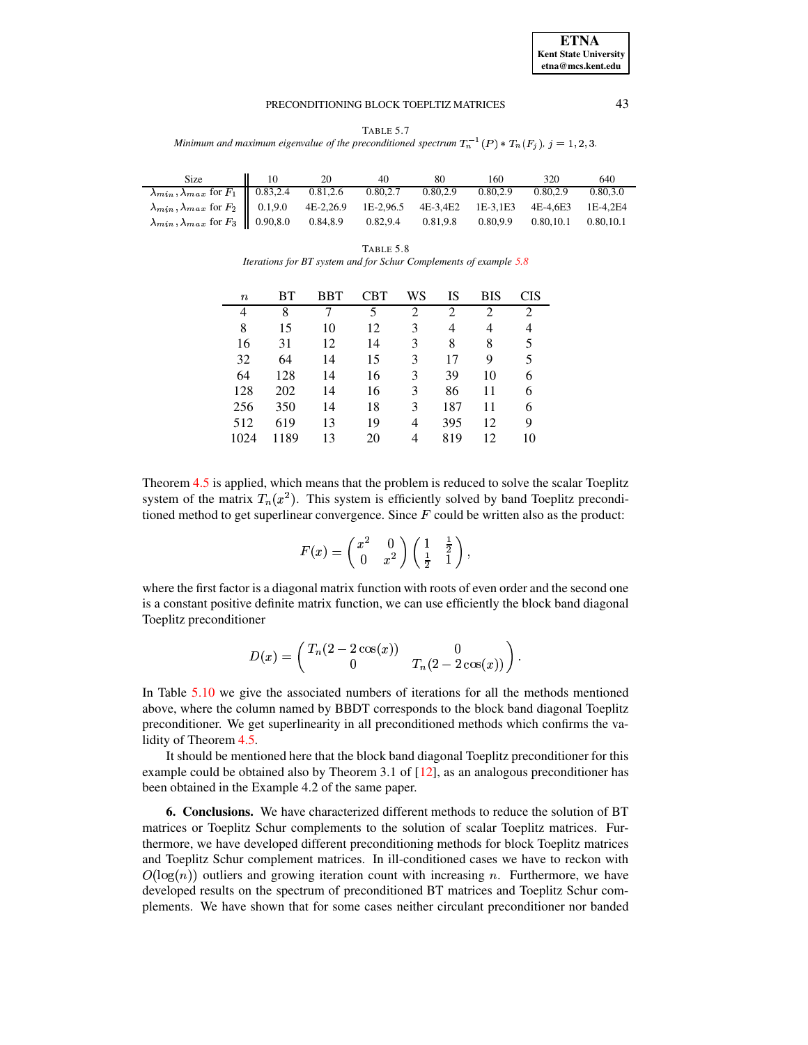TABLE 5.7 *Minimum* and *maximum* eigenvalue of the preconditioned spectrum  $T_n^{-1}(P) * T_n(F_j)$ ,  $j = 1, 2, 3$ .

<span id="page-12-1"></span>

| Size                                                                                                        | 10 | 20 | 40       | 80       | 160      | 320      | 640       |
|-------------------------------------------------------------------------------------------------------------|----|----|----------|----------|----------|----------|-----------|
| $\lambda_{min}, \overline{\lambda_{max}}$ for $F_1$   0.83,2.4 0.81,2.6                                     |    |    | 0.80,2.7 | 0.80.2.9 | 0.80.2.9 | 0.80.2.9 | 0.80, 3.0 |
| $\lambda_{min}, \lambda_{max}$ for $F_2$   0.1,9.0 4E-2,26.9 1E-2,96.5 4E-3,4E2 1E-3,1E3 4E-4,6E3 1E-4,2E4  |    |    |          |          |          |          |           |
| $\lambda_{min}, \lambda_{max}$ for $F_3$   0.90,8.0 0.84,8.9 0.82,9.4 0.81,9.8 0.80,9.9 0.80,10.1 0.80,10.1 |    |    |          |          |          |          |           |

TABLE 5.8 *Iterations for BT system and for Schur Complements of example [5.8](#page-9-3)*

<span id="page-12-2"></span>

| $\it n$ | BТ   | <b>BBT</b> | <b>CBT</b> | WS             | IS             | BIS            | CIS |
|---------|------|------------|------------|----------------|----------------|----------------|-----|
| 4       | 8    | 7          | 5          | $\overline{c}$ | $\overline{2}$ | $\overline{c}$ | 2   |
| 8       | 15   | 10         | 12         | 3              | 4              | 4              | 4   |
| 16      | 31   | 12         | 14         | 3              | 8              | 8              | 5   |
| 32      | 64   | 14         | 15         | 3              | 17             | 9              | 5   |
| 64      | 128  | 14         | 16         | 3              | 39             | 10             | 6   |
| 128     | 202  | 14         | 16         | 3              | 86             | 11             | 6   |
| 256     | 350  | 14         | 18         | 3              | 187            | 11             | 6   |
| 512     | 619  | 13         | 19         | 4              | 395            | 12             | 9   |
| 1024    | 1189 | 13         | 20         | 4              | 819            | 12             | 10  |

Theorem [4.5](#page-8-0) is applied, which means that the problem is reduced to solve the scalar Toeplitz system of the matrix  $T_n(x^2)$ . This system is efficiently solved by band Toeplitz preconditioned method to get superlinear convergence. Since  $F$  could be written also as the product:

$$
F(x)=\begin{pmatrix} x^2 & 0 \\ 0 & x^2 \end{pmatrix} \begin{pmatrix} 1 & \frac{1}{2} \\ \frac{1}{2} & 1 \end{pmatrix},
$$

where the first factor is a diagonal matrix function with roots of even order and the second one is a constant positive definite matrix function, we can use efficiently the block band diagonal Toeplitz preconditioner

$$
D(x) = \begin{pmatrix} T_n(2 - 2\cos(x)) & 0 \\ 0 & T_n(2 - 2\cos(x)) \end{pmatrix}.
$$

In Table [5.10](#page-13-10) we give the associated numbers of iterations for all the methods mentioned above, where the column named by BBDT corresponds to the block band diagonal Toeplitz preconditioner. We get superlinearity in all preconditioned methods which confirms the validity of Theorem [4.5.](#page-8-0)

It should be mentioned here that the block band diagonal Toeplitz preconditioner for this example could be obtained also by Theorem 3.1 of [\[12\]](#page-14-1), as an analogous preconditioner has been obtained in the Example 4.2 of the same paper.

<span id="page-12-0"></span>**6. Conclusions.** We have characterized different methods to reduce the solution of BT matrices or Toeplitz Schur complements to the solution of scalar Toeplitz matrices. Furthermore, we have developed different preconditioning methods for block Toeplitz matrices and Toeplitz Schur complement matrices. In ill-conditioned cases we have to reckon with  $O(log(n))$  outliers and growing iteration count with increasing n. Furthermore, we have developed results on the spectrum of preconditioned BT matrices and Toeplitz Schur complements. We have shown that for some cases neither circulant preconditioner nor banded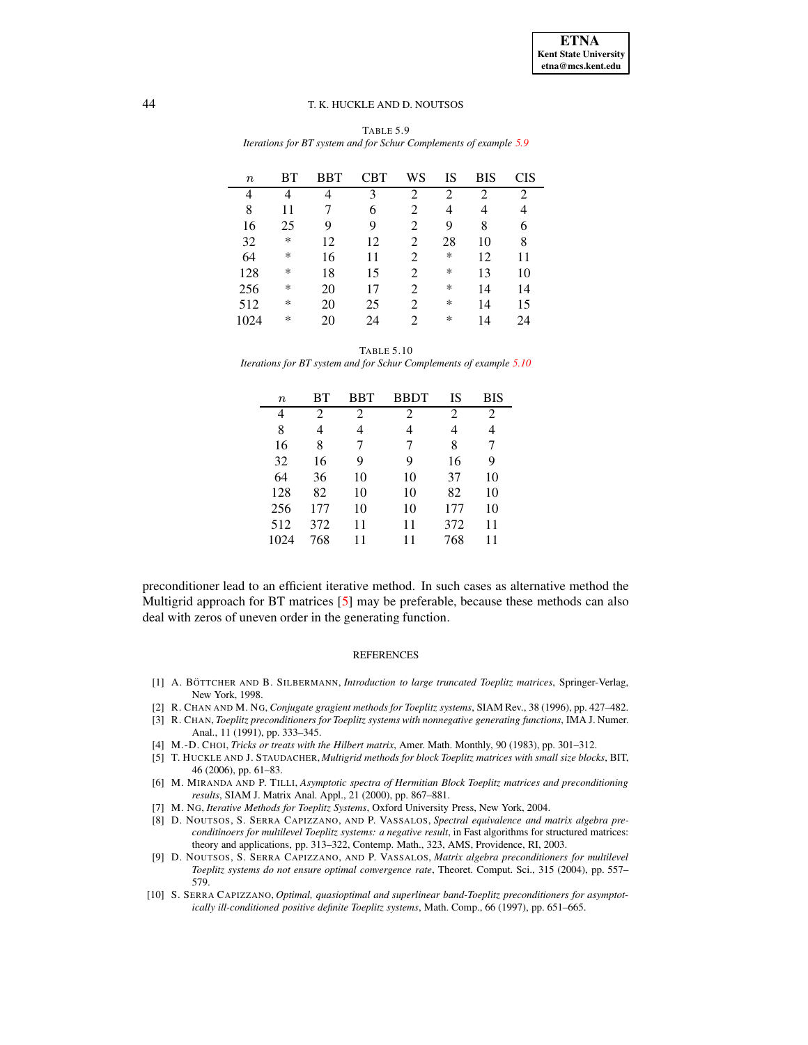<span id="page-13-9"></span>

| $\it n$ | BТ | <b>BBT</b> | CBT | WS             | IS     | <b>BIS</b>     | <b>CIS</b>     |
|---------|----|------------|-----|----------------|--------|----------------|----------------|
| 4       | 4  | 4          | 3   | 2              | 2      | $\overline{c}$ | $\overline{c}$ |
| 8       | 11 | 7          | 6   | $\overline{c}$ | 4      | 4              | 4              |
| 16      | 25 | 9          | 9   | 2              | 9      | 8              | 6              |
| 32      | *  | 12         | 12  | 2              | 28     | 10             | 8              |
| 64      | *  | 16         | 11  | 2              | $\ast$ | 12             | 11             |
| 128     | *  | 18         | 15  | $\overline{2}$ | *      | 13             | 10             |
| 256     | *  | 20         | 17  | $\overline{c}$ | *      | 14             | 14             |
| 512     | *  | 20         | 25  | 2              | *      | 14             | 15             |
| 1024    | *  | 20         | 24  | 2              | *      | 14             | 24             |

TABLE 5.9 *Iterations for BT system and for Schur Complements of example [5.9](#page-11-2)*

<span id="page-13-10"></span>*Iterations for BT system and for Schur Complements of example [5.10](#page-11-3)*

| $\it n$ | BТ  | BBT | <b>BBDT</b>    | IS             | <b>BIS</b> |
|---------|-----|-----|----------------|----------------|------------|
| 4       | 2   | 2   | $\mathfrak{D}$ | $\overline{c}$ | 2          |
| 8       | 4   | 4   | 4              | 4              | 4          |
| 16      | 8   | 7   | 7              | 8              | 7          |
| 32      | 16  | 9   | 9              | 16             | 9          |
| 64      | 36  | 10  | 10             | 37             | 10         |
| 128     | 82  | 10  | 10             | 82             | 10         |
| 256     | 177 | 10  | 10             | 177            | 10         |
| 512     | 372 | 11  | 11             | 372            | 11         |
| 1024    | 768 | 11  | 11             | 768            | 11         |

preconditioner lead to an efficient iterative method. In such cases as alternative method the Multigrid approach for BT matrices [\[5\]](#page-13-11) may be preferable, because these methods can also deal with zeros of uneven order in the generating function.

## REFERENCES

- <span id="page-13-7"></span>[1] A. BO¨ TTCHER AND B. SILBERMANN, *Introduction to large truncated Toeplitz matrices*, Springer-Verlag, New York, 1998.
- <span id="page-13-5"></span><span id="page-13-3"></span>[2] R. CHAN AND M. NG, *Conjugate gragient methods for Toeplitz systems*, SIAM Rev., 38 (1996), pp. 427–482.
- [3] R. CHAN, *Toeplitz preconditioners for Toeplitz systems with nonnegative generating functions*, IMA J. Numer. Anal., 11 (1991), pp. 333–345.
- <span id="page-13-11"></span><span id="page-13-8"></span>[4] M.-D. CHOI, *Tricks or treats with the Hilbert matrix*, Amer. Math. Monthly, 90 (1983), pp. 301–312.
- [5] T. HUCKLE AND J. STAUDACHER, *Multigrid methods for block Toeplitz matrices with small size blocks*, BIT, 46 (2006), pp. 61–83.
- <span id="page-13-6"></span>[6] M. MIRANDA AND P. TILLI, *Asymptotic spectra of Hermitian Block Toeplitz matrices and preconditioning results*, SIAM J. Matrix Anal. Appl., 21 (2000), pp. 867–881.
- <span id="page-13-4"></span><span id="page-13-0"></span>[7] M. NG, *Iterative Methods for Toeplitz Systems*, Oxford University Press, New York, 2004.
- [8] D. NOUTSOS, S. SERRA CAPIZZANO, AND P. VASSALOS, *Spectral equivalence and matrix algebra preconditinoers for multilevel Toeplitz systems: a negative result*, in Fast algorithms for structured matrices: theory and applications, pp. 313–322, Contemp. Math., 323, AMS, Providence, RI, 2003.
- <span id="page-13-1"></span>[9] D. NOUTSOS, S. SERRA CAPIZZANO, AND P. VASSALOS, *Matrix algebra preconditioners for multilevel Toeplitz systems do not ensure optimal convergence rate*, Theoret. Comput. Sci., 315 (2004), pp. 557– 579.
- <span id="page-13-2"></span>[10] S. SERRA CAPIZZANO, *Optimal, quasioptimal and superlinear band-Toeplitz preconditioners for asymptotically ill-conditioned positive definite Toeplitz systems*, Math. Comp., 66 (1997), pp. 651–665.

TABLE 5.10